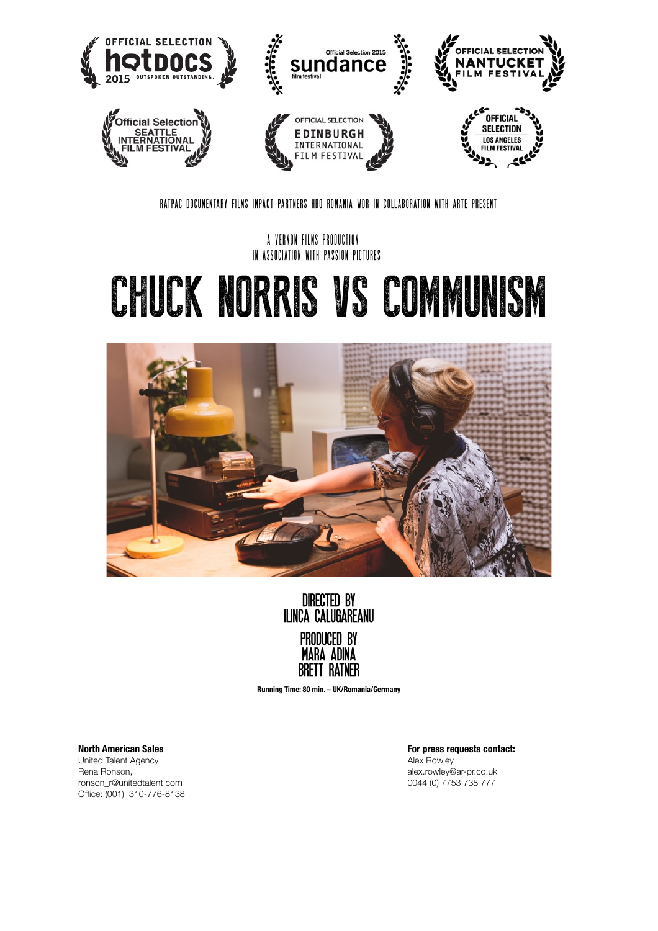

**RATPAC DOCUMENTARY FILMS IMPACT PARTNERS HBO ROMANIA WDR IN COLLABORATION WITH ARTE PRESENT** 

**A VERNON FILMS PRODUCTION IN ASSOCIATION WITH PASSION PICTURES**

# CHUCK NORRIS VS COMMUNISM



**directed by ilinca calugareanu produced by mara adina brett ratner**

**Running Time: 80 min. – UK/Romania/Germany** 

United Talent Agency **and Contact Agency** *Contact Agency Alex Rowley* Rena Ronson, alex.rowley@ar-pr.co.uk ronson\_r@unitedtalent.com Office: (001) 310-776-8138 

**North American Sales** *Contact: For press requests contact: For press requests contact:*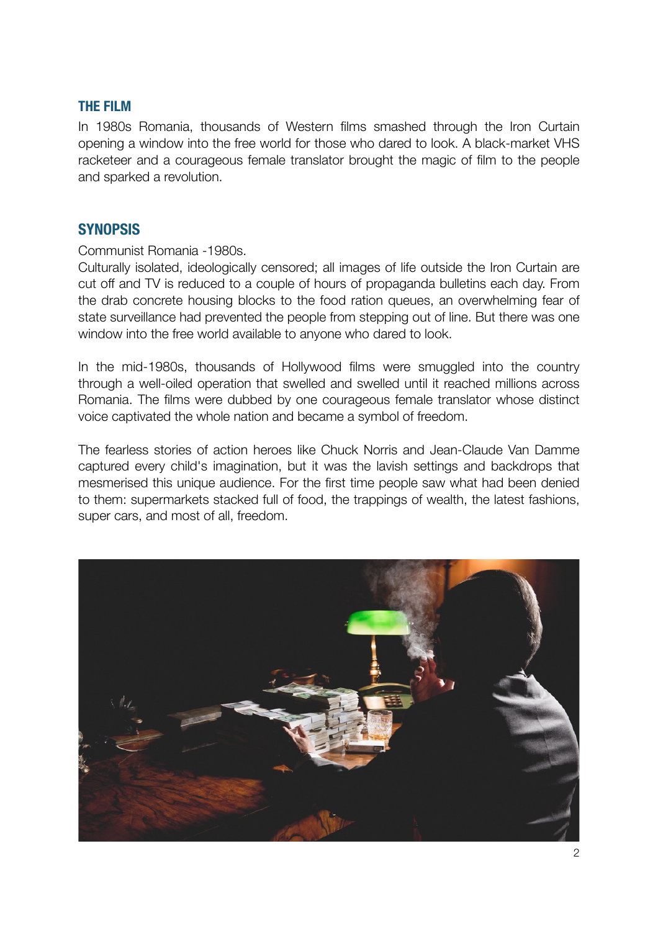# **THE FILM**

In 1980s Romania, thousands of Western films smashed through the Iron Curtain opening a window into the free world for those who dared to look. A black-market VHS racketeer and a courageous female translator brought the magic of film to the people and sparked a revolution.

# **SYNOPSIS**

Communist Romania -1980s.

Culturally isolated, ideologically censored; all images of life outside the Iron Curtain are cut off and TV is reduced to a couple of hours of propaganda bulletins each day. From the drab concrete housing blocks to the food ration queues, an overwhelming fear of state surveillance had prevented the people from stepping out of line. But there was one window into the free world available to anyone who dared to look.

In the mid-1980s, thousands of Hollywood films were smuggled into the country through a well-oiled operation that swelled and swelled until it reached millions across Romania. The films were dubbed by one courageous female translator whose distinct voice captivated the whole nation and became a symbol of freedom.

The fearless stories of action heroes like Chuck Norris and Jean-Claude Van Damme captured every child's imagination, but it was the lavish settings and backdrops that mesmerised this unique audience. For the first time people saw what had been denied to them: supermarkets stacked full of food, the trappings of wealth, the latest fashions, super cars, and most of all, freedom.

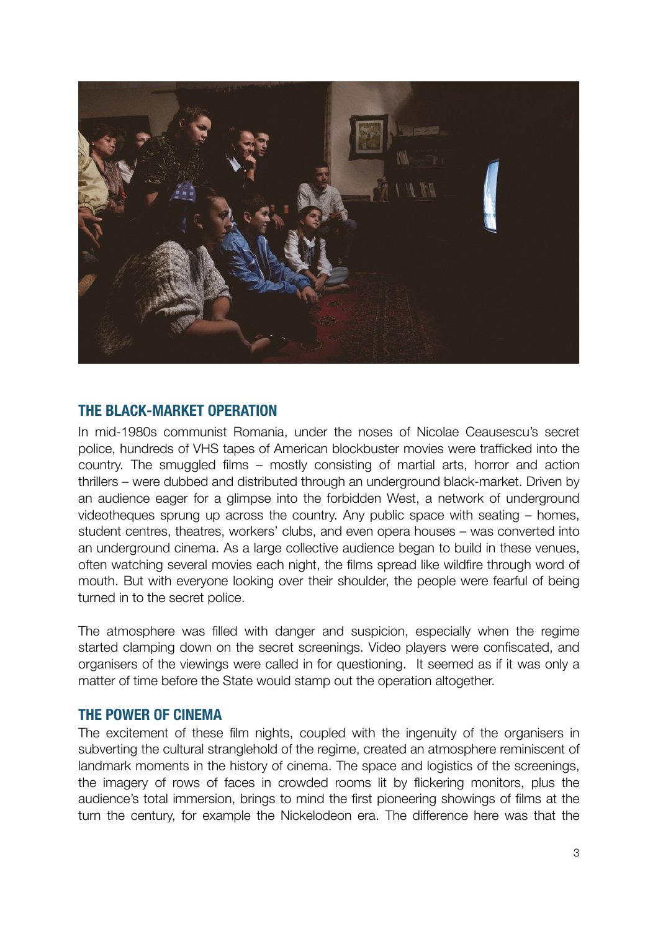

# **THE BLACK-MARKET OPERATION**

In mid-1980s communist Romania, under the noses of Nicolae Ceausescu's secret police, hundreds of VHS tapes of American blockbuster movies were trafficked into the country. The smuggled films – mostly consisting of martial arts, horror and action thrillers – were dubbed and distributed through an underground black-market. Driven by an audience eager for a glimpse into the forbidden West, a network of underground videotheques sprung up across the country. Any public space with seating – homes, student centres, theatres, workers' clubs, and even opera houses – was converted into an underground cinema. As a large collective audience began to build in these venues, often watching several movies each night, the films spread like wildfire through word of mouth. But with everyone looking over their shoulder, the people were fearful of being turned in to the secret police.

The atmosphere was filled with danger and suspicion, especially when the regime started clamping down on the secret screenings. Video players were confiscated, and organisers of the viewings were called in for questioning. It seemed as if it was only a matter of time before the State would stamp out the operation altogether.

## **THE POWER OF CINEMA**

The excitement of these film nights, coupled with the ingenuity of the organisers in subverting the cultural stranglehold of the regime, created an atmosphere reminiscent of landmark moments in the history of cinema. The space and logistics of the screenings, the imagery of rows of faces in crowded rooms lit by flickering monitors, plus the audience's total immersion, brings to mind the first pioneering showings of films at the turn the century, for example the Nickelodeon era. The difference here was that the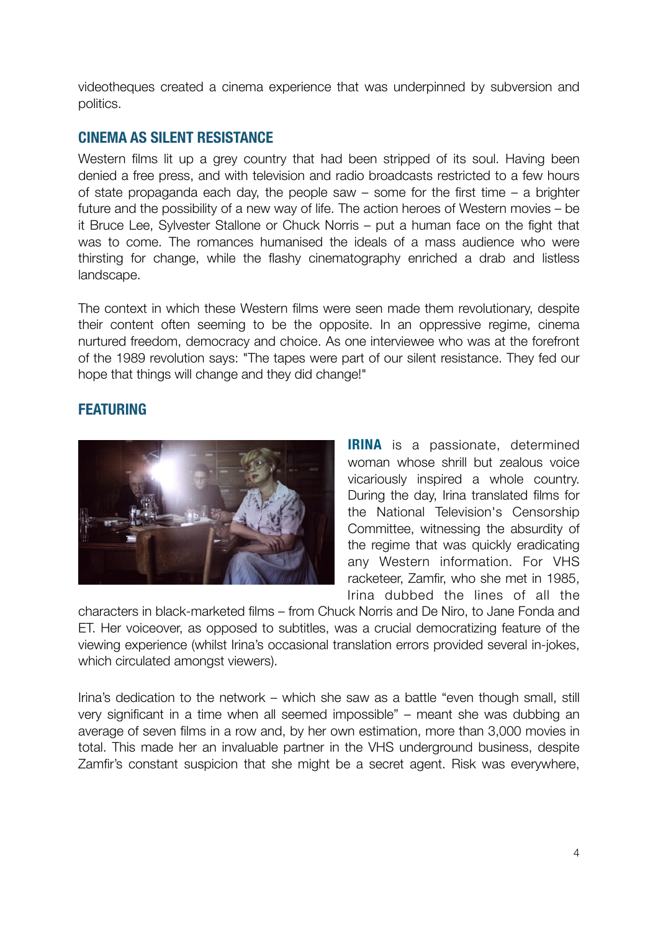videotheques created a cinema experience that was underpinned by subversion and politics.

# **CINEMA AS SILENT RESISTANCE**

Western films lit up a grey country that had been stripped of its soul. Having been denied a free press, and with television and radio broadcasts restricted to a few hours of state propaganda each day, the people saw – some for the first time – a brighter future and the possibility of a new way of life. The action heroes of Western movies – be it Bruce Lee, Sylvester Stallone or Chuck Norris – put a human face on the fight that was to come. The romances humanised the ideals of a mass audience who were thirsting for change, while the flashy cinematography enriched a drab and listless landscape.

The context in which these Western films were seen made them revolutionary, despite their content often seeming to be the opposite. In an oppressive regime, cinema nurtured freedom, democracy and choice. As one interviewee who was at the forefront of the 1989 revolution says: "The tapes were part of our silent resistance. They fed our hope that things will change and they did change!"

# **FEATURING**



**IRINA** is a passionate, determined woman whose shrill but zealous voice vicariously inspired a whole country. During the day, Irina translated films for the National Television's Censorship Committee, witnessing the absurdity of the regime that was quickly eradicating any Western information. For VHS racketeer, Zamfir, who she met in 1985, Irina dubbed the lines of all the

characters in black-marketed films – from Chuck Norris and De Niro, to Jane Fonda and ET. Her voiceover, as opposed to subtitles, was a crucial democratizing feature of the viewing experience (whilst Irina's occasional translation errors provided several in-jokes, which circulated amongst viewers).

Irina's dedication to the network – which she saw as a battle "even though small, still very significant in a time when all seemed impossible" – meant she was dubbing an average of seven films in a row and, by her own estimation, more than 3,000 movies in total. This made her an invaluable partner in the VHS underground business, despite Zamfir's constant suspicion that she might be a secret agent. Risk was everywhere,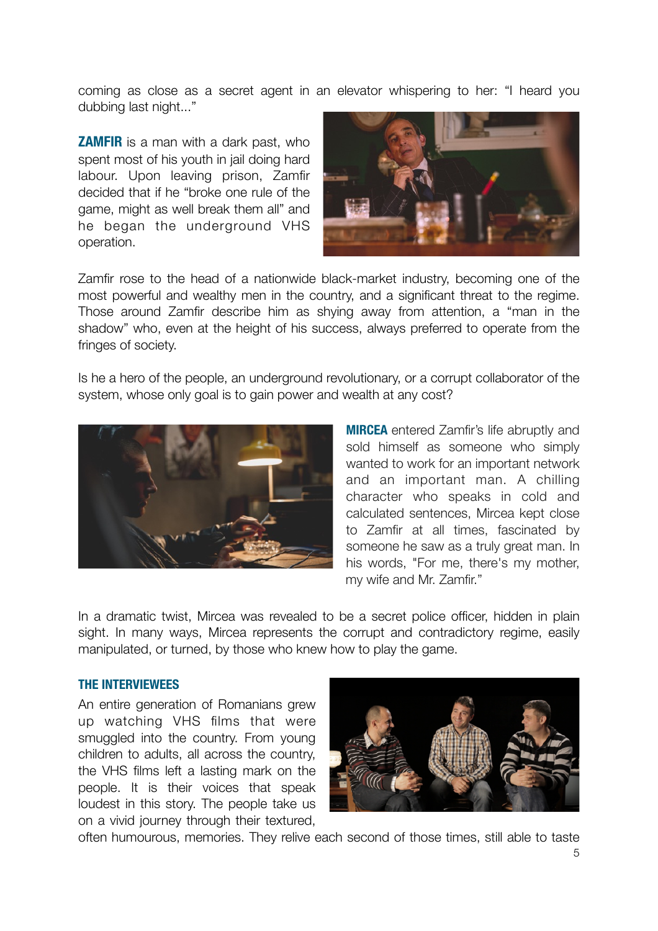coming as close as a secret agent in an elevator whispering to her: "I heard you dubbing last night..."

**ZAMFIR** is a man with a dark past, who spent most of his youth in jail doing hard labour. Upon leaving prison, Zamfir decided that if he "broke one rule of the game, might as well break them all" and he began the underground VHS operation.



Zamfir rose to the head of a nationwide black-market industry, becoming one of the most powerful and wealthy men in the country, and a significant threat to the regime. Those around Zamfir describe him as shying away from attention, a "man in the shadow" who, even at the height of his success, always preferred to operate from the fringes of society.

Is he a hero of the people, an underground revolutionary, or a corrupt collaborator of the system, whose only goal is to gain power and wealth at any cost?



**MIRCEA** entered Zamfir's life abruptly and sold himself as someone who simply wanted to work for an important network and an important man. A chilling character who speaks in cold and calculated sentences, Mircea kept close to Zamfir at all times, fascinated by someone he saw as a truly great man. In his words, "For me, there's my mother, my wife and Mr. Zamfir."

In a dramatic twist, Mircea was revealed to be a secret police officer, hidden in plain sight. In many ways, Mircea represents the corrupt and contradictory regime, easily manipulated, or turned, by those who knew how to play the game.

## **THE INTERVIEWEES**

An entire generation of Romanians grew up watching VHS films that were smuggled into the country. From young children to adults, all across the country, the VHS films left a lasting mark on the people. It is their voices that speak loudest in this story. The people take us on a vivid journey through their textured,



often humourous, memories. They relive each second of those times, still able to taste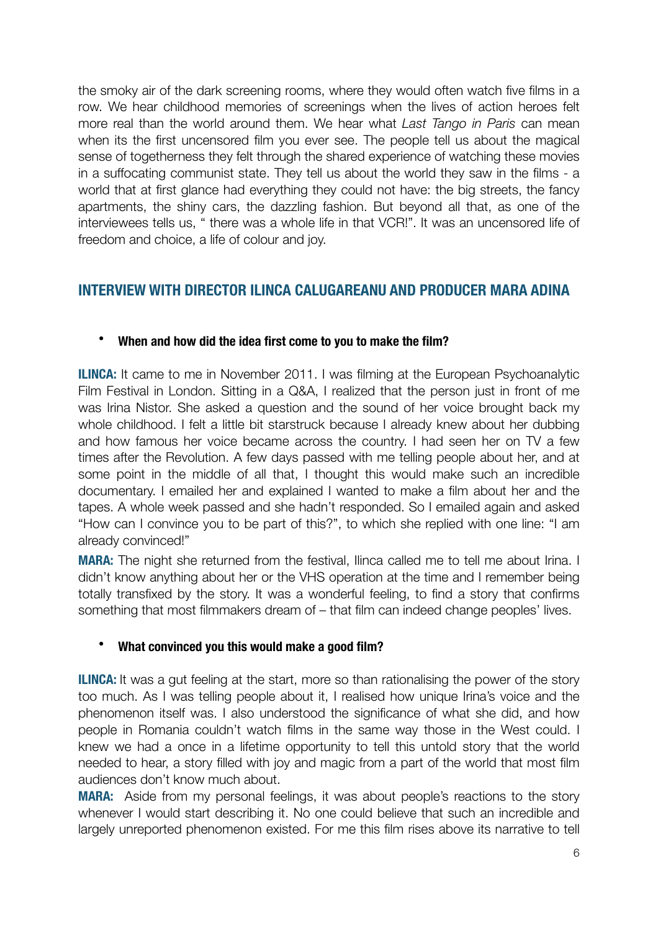the smoky air of the dark screening rooms, where they would often watch five films in a row. We hear childhood memories of screenings when the lives of action heroes felt more real than the world around them. We hear what *Last Tango in Paris* can mean when its the first uncensored film you ever see. The people tell us about the magical sense of togetherness they felt through the shared experience of watching these movies in a suffocating communist state. They tell us about the world they saw in the films - a world that at first glance had everything they could not have: the big streets, the fancy apartments, the shiny cars, the dazzling fashion. But beyond all that, as one of the interviewees tells us, " there was a whole life in that VCR!". It was an uncensored life of freedom and choice, a life of colour and joy.

# **INTERVIEW WITH DIRECTOR ILINCA CALUGAREANU AND PRODUCER MARA ADINA**

# • **When and how did the idea first come to you to make the film?**

**ILINCA:** It came to me in November 2011. I was filming at the European Psychoanalytic Film Festival in London. Sitting in a Q&A, I realized that the person just in front of me was Irina Nistor. She asked a question and the sound of her voice brought back my whole childhood. I felt a little bit starstruck because I already knew about her dubbing and how famous her voice became across the country. I had seen her on TV a few times after the Revolution. A few days passed with me telling people about her, and at some point in the middle of all that, I thought this would make such an incredible documentary. I emailed her and explained I wanted to make a film about her and the tapes. A whole week passed and she hadn't responded. So I emailed again and asked "How can I convince you to be part of this?", to which she replied with one line: "I am already convinced!"

**MARA:** The night she returned from the festival, Ilinca called me to tell me about Irina. I didn't know anything about her or the VHS operation at the time and I remember being totally transfixed by the story. It was a wonderful feeling, to find a story that confirms something that most filmmakers dream of – that film can indeed change peoples' lives.

# • **What convinced you this would make a good film?**

**ILINCA:** It was a gut feeling at the start, more so than rationalising the power of the story too much. As I was telling people about it, I realised how unique Irina's voice and the phenomenon itself was. I also understood the significance of what she did, and how people in Romania couldn't watch films in the same way those in the West could. I knew we had a once in a lifetime opportunity to tell this untold story that the world needed to hear, a story filled with joy and magic from a part of the world that most film audiences don't know much about.

**MARA:** Aside from my personal feelings, it was about people's reactions to the story whenever I would start describing it. No one could believe that such an incredible and largely unreported phenomenon existed. For me this film rises above its narrative to tell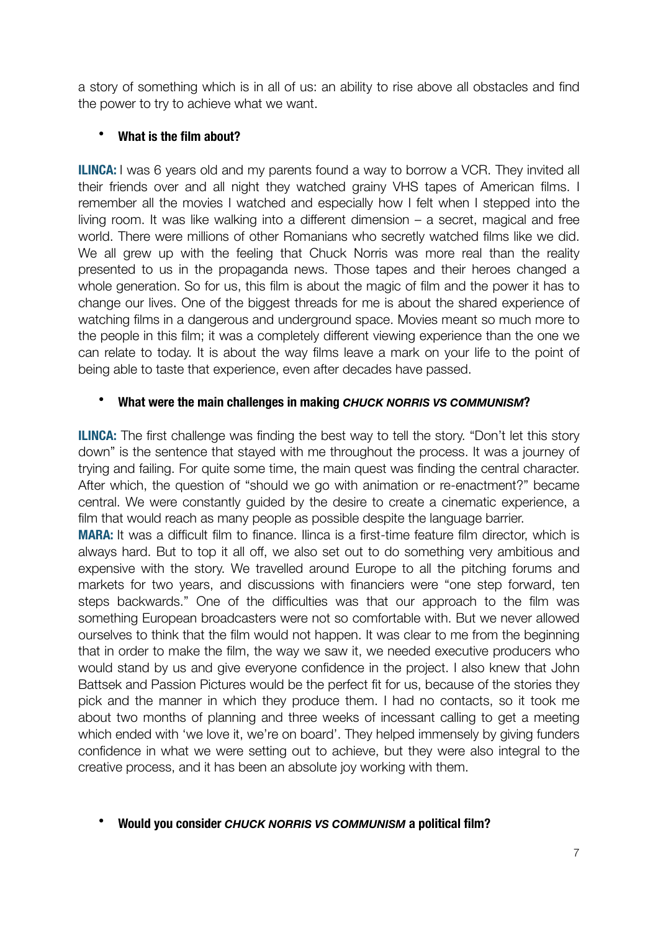a story of something which is in all of us: an ability to rise above all obstacles and find the power to try to achieve what we want.

# • **What is the film about?**

**ILINCA:** I was 6 years old and my parents found a way to borrow a VCR. They invited all their friends over and all night they watched grainy VHS tapes of American films. I remember all the movies I watched and especially how I felt when I stepped into the living room. It was like walking into a different dimension – a secret, magical and free world. There were millions of other Romanians who secretly watched films like we did. We all grew up with the feeling that Chuck Norris was more real than the reality presented to us in the propaganda news. Those tapes and their heroes changed a whole generation. So for us, this film is about the magic of film and the power it has to change our lives. One of the biggest threads for me is about the shared experience of watching films in a dangerous and underground space. Movies meant so much more to the people in this film; it was a completely different viewing experience than the one we can relate to today. It is about the way films leave a mark on your life to the point of being able to taste that experience, even after decades have passed.

# • **What were the main challenges in making** *CHUCK NORRIS VS COMMUNISM***?**

**ILINCA:** The first challenge was finding the best way to tell the story. "Don't let this story down" is the sentence that stayed with me throughout the process. It was a journey of trying and failing. For quite some time, the main quest was finding the central character. After which, the question of "should we go with animation or re-enactment?" became central. We were constantly guided by the desire to create a cinematic experience, a film that would reach as many people as possible despite the language barrier.

**MARA:** It was a difficult film to finance. Ilinca is a first-time feature film director, which is always hard. But to top it all off, we also set out to do something very ambitious and expensive with the story. We travelled around Europe to all the pitching forums and markets for two years, and discussions with financiers were "one step forward, ten steps backwards." One of the difficulties was that our approach to the film was something European broadcasters were not so comfortable with. But we never allowed ourselves to think that the film would not happen. It was clear to me from the beginning that in order to make the film, the way we saw it, we needed executive producers who would stand by us and give everyone confidence in the project. I also knew that John Battsek and Passion Pictures would be the perfect fit for us, because of the stories they pick and the manner in which they produce them. I had no contacts, so it took me about two months of planning and three weeks of incessant calling to get a meeting which ended with 'we love it, we're on board'. They helped immensely by giving funders confidence in what we were setting out to achieve, but they were also integral to the creative process, and it has been an absolute joy working with them.

## • **Would you consider** *CHUCK NORRIS VS COMMUNISM* **a political film?**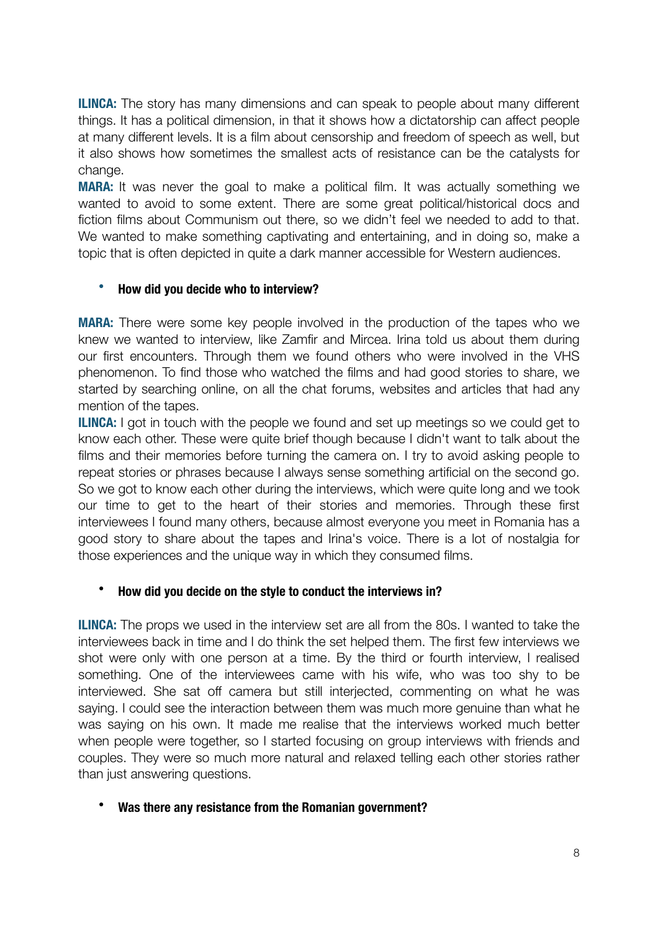**ILINCA:** The story has many dimensions and can speak to people about many different things. It has a political dimension, in that it shows how a dictatorship can affect people at many different levels. It is a film about censorship and freedom of speech as well, but it also shows how sometimes the smallest acts of resistance can be the catalysts for change.

**MARA:** It was never the goal to make a political film. It was actually something we wanted to avoid to some extent. There are some great political/historical docs and fiction films about Communism out there, so we didn't feel we needed to add to that. We wanted to make something captivating and entertaining, and in doing so, make a topic that is often depicted in quite a dark manner accessible for Western audiences.

# • **How did you decide who to interview?**

**MARA:** There were some key people involved in the production of the tapes who we knew we wanted to interview, like Zamfir and Mircea. Irina told us about them during our first encounters. Through them we found others who were involved in the VHS phenomenon. To find those who watched the films and had good stories to share, we started by searching online, on all the chat forums, websites and articles that had any mention of the tapes.

**ILINCA:** I got in touch with the people we found and set up meetings so we could get to know each other. These were quite brief though because I didn't want to talk about the films and their memories before turning the camera on. I try to avoid asking people to repeat stories or phrases because I always sense something artificial on the second go. So we got to know each other during the interviews, which were quite long and we took our time to get to the heart of their stories and memories. Through these first interviewees I found many others, because almost everyone you meet in Romania has a good story to share about the tapes and Irina's voice. There is a lot of nostalgia for those experiences and the unique way in which they consumed films.

# • **How did you decide on the style to conduct the interviews in?**

**ILINCA:** The props we used in the interview set are all from the 80s. I wanted to take the interviewees back in time and I do think the set helped them. The first few interviews we shot were only with one person at a time. By the third or fourth interview, I realised something. One of the interviewees came with his wife, who was too shy to be interviewed. She sat off camera but still interjected, commenting on what he was saying. I could see the interaction between them was much more genuine than what he was saying on his own. It made me realise that the interviews worked much better when people were together, so I started focusing on group interviews with friends and couples. They were so much more natural and relaxed telling each other stories rather than just answering questions.

## • **Was there any resistance from the Romanian government?**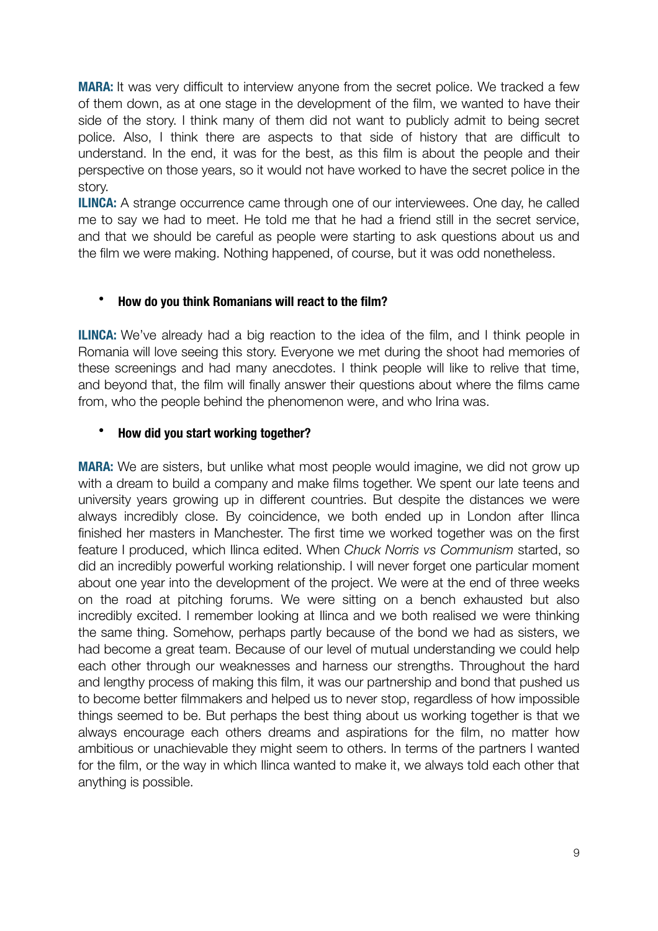**MARA:** It was very difficult to interview anyone from the secret police. We tracked a few of them down, as at one stage in the development of the film, we wanted to have their side of the story. I think many of them did not want to publicly admit to being secret police. Also, I think there are aspects to that side of history that are difficult to understand. In the end, it was for the best, as this film is about the people and their perspective on those years, so it would not have worked to have the secret police in the story.

**ILINCA:** A strange occurrence came through one of our interviewees. One day, he called me to say we had to meet. He told me that he had a friend still in the secret service, and that we should be careful as people were starting to ask questions about us and the film we were making. Nothing happened, of course, but it was odd nonetheless.

## • **How do you think Romanians will react to the film?**

**ILINCA:** We've already had a big reaction to the idea of the film, and I think people in Romania will love seeing this story. Everyone we met during the shoot had memories of these screenings and had many anecdotes. I think people will like to relive that time, and beyond that, the film will finally answer their questions about where the films came from, who the people behind the phenomenon were, and who Irina was.

# • **How did you start working together?**

**MARA:** We are sisters, but unlike what most people would imagine, we did not grow up with a dream to build a company and make films together. We spent our late teens and university years growing up in different countries. But despite the distances we were always incredibly close. By coincidence, we both ended up in London after Ilinca finished her masters in Manchester. The first time we worked together was on the first feature I produced, which Ilinca edited. When *Chuck Norris vs Communism* started, so did an incredibly powerful working relationship. I will never forget one particular moment about one year into the development of the project. We were at the end of three weeks on the road at pitching forums. We were sitting on a bench exhausted but also incredibly excited. I remember looking at Ilinca and we both realised we were thinking the same thing. Somehow, perhaps partly because of the bond we had as sisters, we had become a great team. Because of our level of mutual understanding we could help each other through our weaknesses and harness our strengths. Throughout the hard and lengthy process of making this film, it was our partnership and bond that pushed us to become better filmmakers and helped us to never stop, regardless of how impossible things seemed to be. But perhaps the best thing about us working together is that we always encourage each others dreams and aspirations for the film, no matter how ambitious or unachievable they might seem to others. In terms of the partners I wanted for the film, or the way in which Ilinca wanted to make it, we always told each other that anything is possible.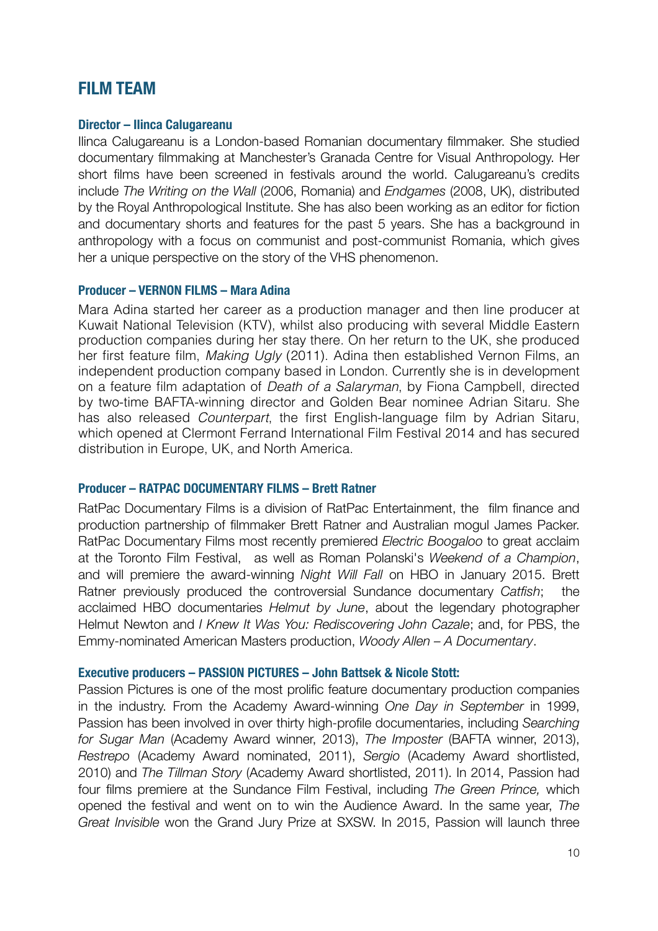# **FILM TEAM**

## **Director – Ilinca Calugareanu**

Ilinca Calugareanu is a London-based Romanian documentary filmmaker. She studied documentary filmmaking at Manchester's Granada Centre for Visual Anthropology. Her short films have been screened in festivals around the world. Calugareanu's credits include *The Writing on the Wall* (2006, Romania) and *Endgames* (2008, UK), distributed by the Royal Anthropological Institute. She has also been working as an editor for fiction and documentary shorts and features for the past 5 years. She has a background in anthropology with a focus on communist and post-communist Romania, which gives her a unique perspective on the story of the VHS phenomenon.

## **Producer – VERNON FILMS – Mara Adina**

Mara Adina started her career as a production manager and then line producer at Kuwait National Television (KTV), whilst also producing with several Middle Eastern production companies during her stay there. On her return to the UK, she produced her first feature film, *Making Ugly* (2011). Adina then established Vernon Films, an independent production company based in London. Currently she is in development on a feature film adaptation of *Death of a Salaryman*, by Fiona Campbell, directed by two-time BAFTA-winning director and Golden Bear nominee Adrian Sitaru. She has also released *Counterpart*, the first English-language film by Adrian Sitaru, which opened at Clermont Ferrand International Film Festival 2014 and has secured distribution in Europe, UK, and North America.

## **Producer – RATPAC DOCUMENTARY FILMS – Brett Ratner**

RatPac Documentary Films is a division of RatPac Entertainment, the film finance and production partnership of filmmaker Brett Ratner and Australian mogul James Packer. RatPac Documentary Films most recently premiered *Electric Boogaloo* to great acclaim at the Toronto Film Festival, as well as Roman Polanski's *Weekend of a Champion*, and will premiere the award-winning *Night Will Fall* on HBO in January 2015. Brett Ratner previously produced the controversial Sundance documentary *Catfish*; the acclaimed HBO documentaries *Helmut by June*, about the legendary photographer Helmut Newton and *I Knew It Was You: Rediscovering John Cazale*; and, for PBS, the Emmy-nominated American Masters production, *Woody Allen – A Documentary*.

## **Executive producers – PASSION PICTURES – John Battsek & Nicole Stott:**

Passion Pictures is one of the most prolific feature documentary production companies in the industry. From the Academy Award-winning *One Day in September* in 1999, Passion has been involved in over thirty high-profile documentaries, including *Searching for Sugar Man* (Academy Award winner, 2013), *The Imposter* (BAFTA winner, 2013), *Restrepo* (Academy Award nominated, 2011), *Sergio* (Academy Award shortlisted, 2010) and *The Tillman Story* (Academy Award shortlisted, 2011). In 2014, Passion had four films premiere at the Sundance Film Festival, including *The Green Prince,* which opened the festival and went on to win the Audience Award. In the same year, *The Great Invisible* won the Grand Jury Prize at SXSW. In 2015, Passion will launch three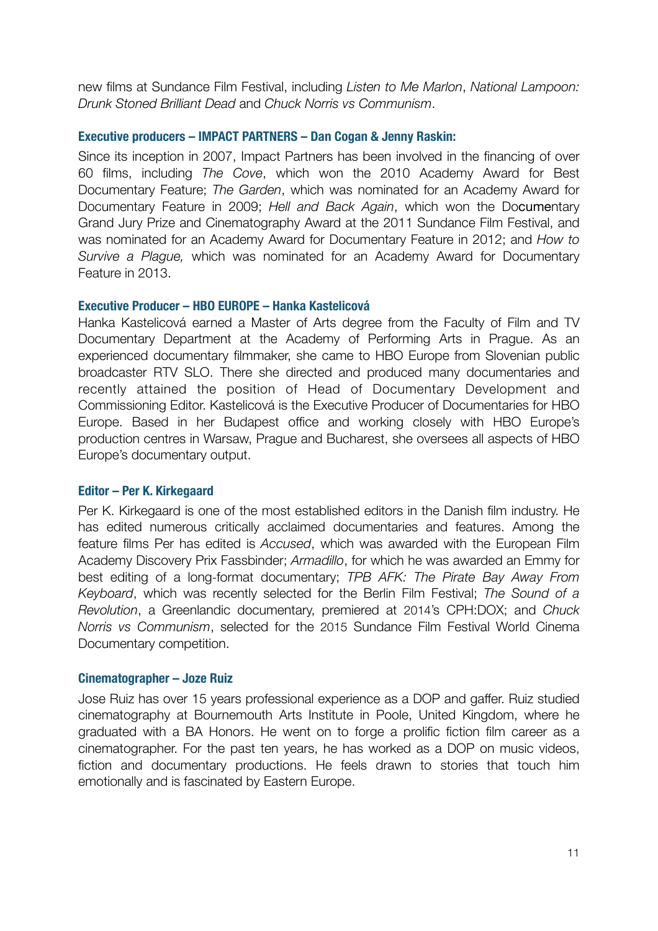new films at Sundance Film Festival, including *Listen to Me Marlon*, *National Lampoon: Drunk Stoned Brilliant Dead* and *Chuck Norris vs Communism*.

## **Executive producers – IMPACT PARTNERS – Dan Cogan & Jenny Raskin:**

Since its inception in 2007, Impact Partners has been involved in the financing of over 60 films, including *The Cove*, which won the 2010 Academy Award for Best Documentary Feature; *The Garden*, which was nominated for an Academy Award for Documentary Feature in 2009; *Hell and Back Again*, which won the Documentary Grand Jury Prize and Cinematography Award at the 2011 Sundance Film Festival, and was nominated for an Academy Award for Documentary Feature in 2012; and *How to Survive a Plague,* which was nominated for an Academy Award for Documentary Feature in 2013.

## **Executive Producer – HBO EUROPE – Hanka Kastelicová**

Hanka Kastelicová earned a Master of Arts degree from the Faculty of Film and TV Documentary Department at the Academy of Performing Arts in Prague. As an experienced documentary filmmaker, she came to HBO Europe from Slovenian public broadcaster RTV SLO. There she directed and produced many documentaries and recently attained the position of Head of Documentary Development and Commissioning Editor. Kastelicová is the Executive Producer of Documentaries for HBO Europe. Based in her Budapest office and working closely with HBO Europe's production centres in Warsaw, Prague and Bucharest, she oversees all aspects of HBO Europe's documentary output.

## **Editor – Per K. Kirkegaard**

Per K. Kirkegaard is one of the most established editors in the Danish film industry. He has edited numerous critically acclaimed documentaries and features. Among the feature films Per has edited is *Accused*, which was awarded with the European Film Academy Discovery Prix Fassbinder; *Armadillo*, for which he was awarded an Emmy for best editing of a long-format documentary; *TPB AFK: The Pirate Bay Away From Keyboard*, which was recently selected for the Berlin Film Festival; *The Sound of a Revolution*, a Greenlandic documentary, premiered at 2014's CPH:DOX; and *Chuck Norris vs Communism*, selected for the 2015 Sundance Film Festival World Cinema Documentary competition.

## **Cinematographer – Joze Ruiz**

Jose Ruiz has over 15 years professional experience as a DOP and gaffer. Ruiz studied cinematography at Bournemouth Arts Institute in Poole, United Kingdom, where he graduated with a BA Honors. He went on to forge a prolific fiction film career as a cinematographer. For the past ten years, he has worked as a DOP on music videos, fiction and documentary productions. He feels drawn to stories that touch him emotionally and is fascinated by Eastern Europe.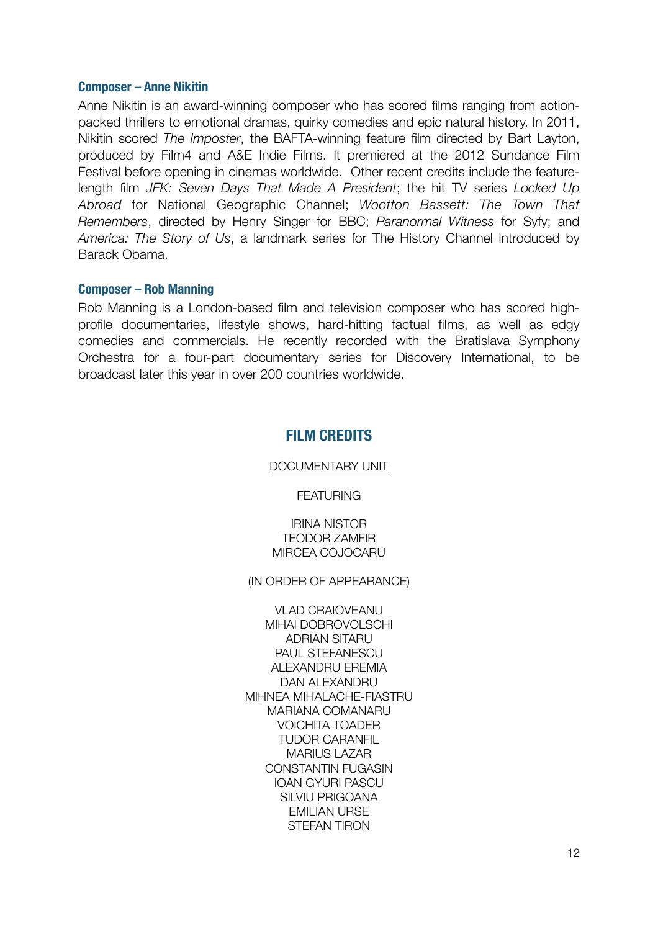#### **Composer – Anne Nikitin**

Anne Nikitin is an award-winning composer who has scored films ranging from actionpacked thrillers to emotional dramas, quirky comedies and epic natural history. In 2011, Nikitin scored *The Imposter*, the BAFTA-winning feature film directed by Bart Layton, produced by Film4 and A&E Indie Films. It premiered at the 2012 Sundance Film Festival before opening in cinemas worldwide. Other recent credits include the featurelength film *JFK: Seven Days That Made A President*; the hit TV series *Locked Up Abroad* for National Geographic Channel; *Wootton Bassett: The Town That Remembers*, directed by Henry Singer for BBC; *Paranormal Witness* for Syfy; and *America: The Story of Us*, a landmark series for The History Channel introduced by Barack Obama.

### **Composer – Rob Manning**

Rob Manning is a London-based film and television composer who has scored highprofile documentaries, lifestyle shows, hard-hitting factual films, as well as edgy comedies and commercials. He recently recorded with the Bratislava Symphony Orchestra for a four-part documentary series for Discovery International, to be broadcast later this year in over 200 countries worldwide.

# **FILM CREDITS**

#### DOCUMENTARY UNIT

**FEATURING** 

IRINA NISTOR TEODOR ZAMFIR MIRCEA COJOCARU

(IN ORDER OF APPEARANCE)

VLAD CRAIOVEANU MIHAI DOBROVOLSCHI ADRIAN SITARU PAUL STEFANESCU ALEXANDRU EREMIA DAN ALEXANDRU MIHNEA MIHALACHE-FIASTRU MARIANA COMANARU VOICHITA TOADER TUDOR CARANFIL MARIUS LAZAR CONSTANTIN FUGASIN IOAN GYURI PASCU SILVIU PRIGOANA EMILIAN URSE STEFAN TIRON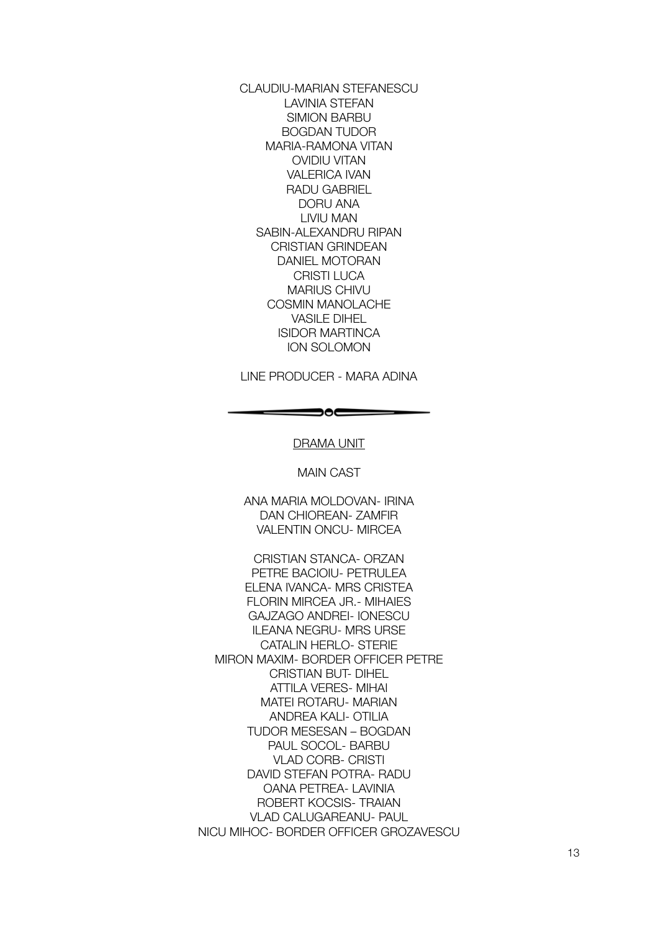CLAUDIU-MARIAN STEFANESCU LAVINIA STEFAN SIMION BARBU BOGDAN TUDOR MARIA-RAMONA VITAN OVIDIU VITAN VALERICA IVAN RADU GABRIEL DORU ANA LIVIU MAN SABIN-ALEXANDRU RIPAN CRISTIAN GRINDEAN DANIEL MOTORAN CRISTI LUCA MARIUS CHIVU COSMIN MANOLACHE VASILE DIHEL ISIDOR MARTINCA ION SOLOMON

LINE PRODUCER - MARA ADINA

#### DRAMA UNIT

 $\hspace{.1in} \bullet$ 

MAIN CAST

ANA MARIA MOLDOVAN- IRINA DAN CHIOREAN- ZAMFIR VALENTIN ONCU- MIRCEA

CRISTIAN STANCA- ORZAN PETRE BACIOIU- PETRULEA ELENA IVANCA- MRS CRISTEA FLORIN MIRCEA JR.- MIHAIES GAJZAGO ANDREI- IONESCU ILEANA NEGRU- MRS URSE CATALIN HERLO- STERIE MIRON MAXIM- BORDER OFFICER PETRE CRISTIAN BUT- DIHEL ATTILA VERES- MIHAI MATEI ROTARU- MARIAN ANDREA KALI- OTILIA TUDOR MESESAN – BOGDAN PAUL SOCOL- BARBU VLAD CORB- CRISTI DAVID STEFAN POTRA- RADU OANA PETREA- LAVINIA ROBERT KOCSIS- TRAIAN VLAD CALUGAREANU- PAUL NICU MIHOC- BORDER OFFICER GROZAVESCU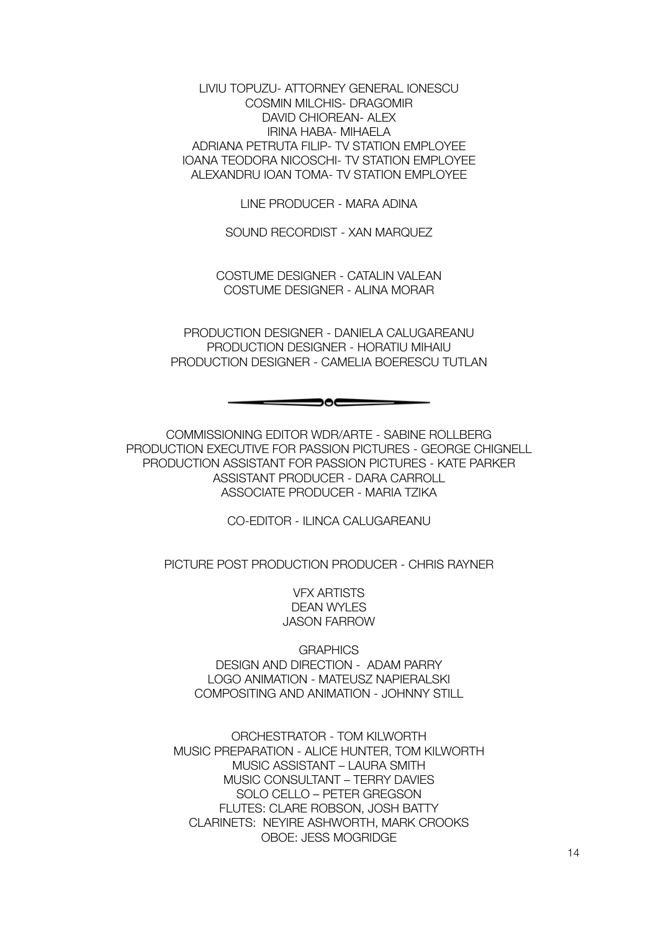LIVIU TOPUZU- ATTORNEY GENERAL IONESCU COSMIN MILCHIS- DRAGOMIR DAVID CHIOREAN- ALEX IRINA HABA- MIHAELA ADRIANA PETRUTA FILIP- TV STATION EMPLOYEE IOANA TEODORA NICOSCHI- TV STATION EMPLOYEE ALEXANDRU IOAN TOMA- TV STATION EMPLOYEE

LINE PRODUCER - MARA ADINA

SOUND RECORDIST - XAN MARQUEZ

COSTUME DESIGNER - CATALIN VALEAN COSTUME DESIGNER - ALINA MORAR

PRODUCTION DESIGNER - DANIELA CALUGAREANU PRODUCTION DESIGNER - HORATIU MIHAIU PRODUCTION DESIGNER - CAMELIA BOERESCU TUTLAN

 $\hspace{.05cm} \bullet$   $\hspace{.05cm}$   $\hspace{.05cm}$   $\hspace{.05cm}$   $\hspace{.05cm}$   $\hspace{.05cm}$   $\hspace{.05cm}$   $\hspace{.05cm}$   $\hspace{.05cm}$   $\hspace{.05cm}$   $\hspace{.05cm}$   $\hspace{.05cm}$   $\hspace{.05cm}$   $\hspace{.05cm}$   $\hspace{.05cm}$   $\hspace{.05cm}$   $\hspace{.05cm}$   $\hspace{.05cm}$   $\hs$ 

COMMISSIONING EDITOR WDR/ARTE - SABINE ROLLBERG PRODUCTION EXECUTIVE FOR PASSION PICTURES - GEORGE CHIGNELL PRODUCTION ASSISTANT FOR PASSION PICTURES - KATE PARKER ASSISTANT PRODUCER - DARA CARROLL ASSOCIATE PRODUCER - MARIA TZIKA

CO-EDITOR - ILINCA CALUGAREANU

PICTURE POST PRODUCTION PRODUCER - CHRIS RAYNER

VFX ARTISTS DEAN WYLES JASON FARROW

**GRAPHICS** DESIGN AND DIRECTION - ADAM PARRY LOGO ANIMATION - MATEUSZ NAPIERALSKI COMPOSITING AND ANIMATION - JOHNNY STILL

ORCHESTRATOR - TOM KILWORTH MUSIC PREPARATION - ALICE HUNTER, TOM KILWORTH MUSIC ASSISTANT – LAURA SMITH MUSIC CONSULTANT – TERRY DAVIES SOLO CELLO – PETER GREGSON FLUTES: CLARE ROBSON, JOSH BATTY CLARINETS: NEYIRE ASHWORTH, MARK CROOKS OBOE: JESS MOGRIDGE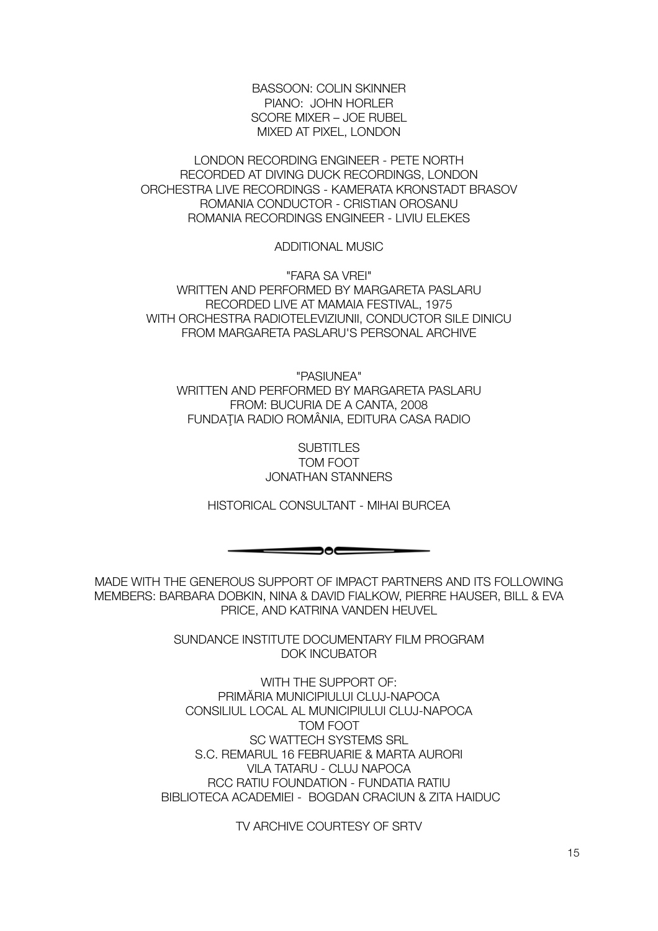BASSOON: COLIN SKINNER PIANO: JOHN HORLER SCORE MIXER – JOE RUBEL MIXED AT PIXEL, LONDON

LONDON RECORDING ENGINEER - PETE NORTH RECORDED AT DIVING DUCK RECORDINGS, LONDON ORCHESTRA LIVE RECORDINGS - KAMERATA KRONSTADT BRASOV ROMANIA CONDUCTOR - CRISTIAN OROSANU ROMANIA RECORDINGS ENGINEER - LIVIU ELEKES

ADDITIONAL MUSIC

"FARA SA VREI" WRITTEN AND PERFORMED BY MARGARETA PASLARU RECORDED LIVE AT MAMAIA FESTIVAL, 1975 WITH ORCHESTRA RADIOTELEVIZIUNII, CONDUCTOR SILE DINICU FROM MARGARETA PASLARU'S PERSONAL ARCHIVE

"PASIUNEA" WRITTEN AND PERFORMED BY MARGARETA PASLARU FROM: BUCURIA DE A CANTA, 2008 FUNDAŢIA RADIO ROMÂNIA, EDITURA CASA RADIO

> **SUBTITLES** TOM FOOT JONATHAN STANNERS

HISTORICAL CONSULTANT - MIHAI BURCEA

 $\Longrightarrow$ 

MADE WITH THE GENEROUS SUPPORT OF IMPACT PARTNERS AND ITS FOLLOWING MEMBERS: BARBARA DOBKIN, NINA & DAVID FIALKOW, PIERRE HAUSER, BILL & EVA PRICE, AND KATRINA VANDEN HEUVEL

> SUNDANCE INSTITUTE DOCUMENTARY FILM PROGRAM DOK INCUBATOR

WITH THE SUPPORT OF: PRIMĂRIA MUNICIPIULUI CLUJ-NAPOCA CONSILIUL LOCAL AL MUNICIPIULUI CLUJ-NAPOCA TOM FOOT SC WATTECH SYSTEMS SRL S.C. REMARUL 16 FEBRUARIE & MARTA AURORI VILA TATARU - CLUJ NAPOCA RCC RATIU FOUNDATION - FUNDATIA RATIU BIBLIOTECA ACADEMIEI - BOGDAN CRACIUN & ZITA HAIDUC

TV ARCHIVE COURTESY OF SRTV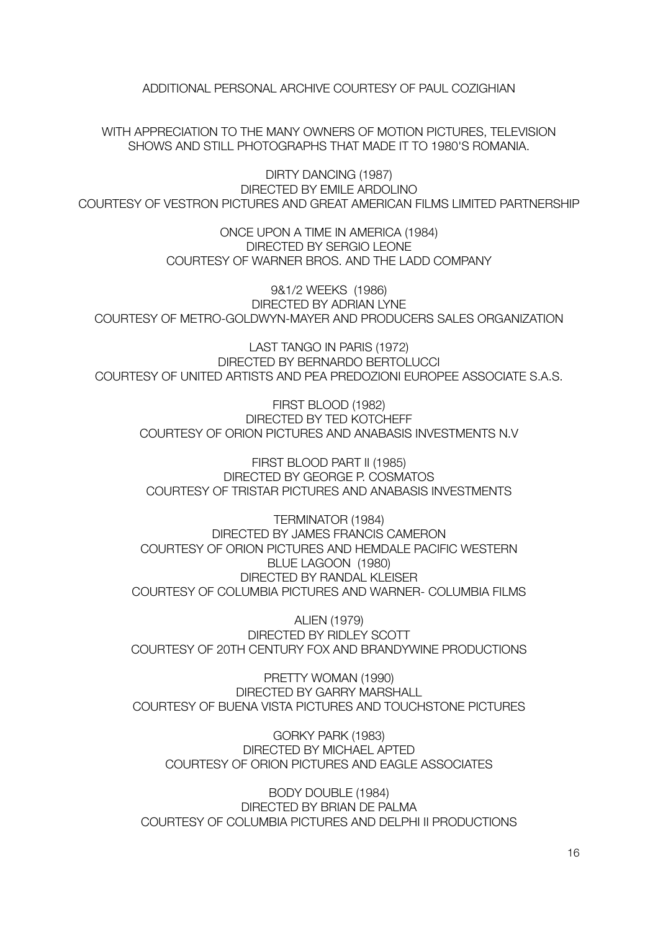ADDITIONAL PERSONAL ARCHIVE COURTESY OF PAUL COZIGHIAN

WITH APPRECIATION TO THE MANY OWNERS OF MOTION PICTURES, TELEVISION SHOWS AND STILL PHOTOGRAPHS THAT MADE IT TO 1980'S ROMANIA.

DIRTY DANCING (1987) DIRECTED BY EMILE ARDOLINO COURTESY OF VESTRON PICTURES AND GREAT AMERICAN FILMS LIMITED PARTNERSHIP

> ONCE UPON A TIME IN AMERICA (1984) DIRECTED BY SERGIO LEONE COURTESY OF WARNER BROS. AND THE LADD COMPANY

9&1/2 WEEKS (1986) DIRECTED BY ADRIAN LYNE COURTESY OF METRO-GOLDWYN-MAYER AND PRODUCERS SALES ORGANIZATION

LAST TANGO IN PARIS (1972) DIRECTED BY BERNARDO BERTOLUCCI COURTESY OF UNITED ARTISTS AND PEA PREDOZIONI EUROPEE ASSOCIATE S.A.S.

FIRST BLOOD (1982) DIRECTED BY TED KOTCHEFF COURTESY OF ORION PICTURES AND ANABASIS INVESTMENTS N.V

FIRST BLOOD PART II (1985) DIRECTED BY GEORGE P. COSMATOS COURTESY OF TRISTAR PICTURES AND ANABASIS INVESTMENTS

TERMINATOR (1984) DIRECTED BY JAMES FRANCIS CAMERON COURTESY OF ORION PICTURES AND HEMDALE PACIFIC WESTERN BLUE LAGOON (1980) DIRECTED BY RANDAL KLEISER COURTESY OF COLUMBIA PICTURES AND WARNER- COLUMBIA FILMS

ALIEN (1979) DIRECTED BY RIDLEY SCOTT COURTESY OF 20TH CENTURY FOX AND BRANDYWINE PRODUCTIONS

PRETTY WOMAN (1990) DIRECTED BY GARRY MARSHALL COURTESY OF BUENA VISTA PICTURES AND TOUCHSTONE PICTURES

GORKY PARK (1983) DIRECTED BY MICHAEL APTED COURTESY OF ORION PICTURES AND EAGLE ASSOCIATES

BODY DOUBLE (1984) DIRECTED BY BRIAN DE PALMA COURTESY OF COLUMBIA PICTURES AND DELPHI II PRODUCTIONS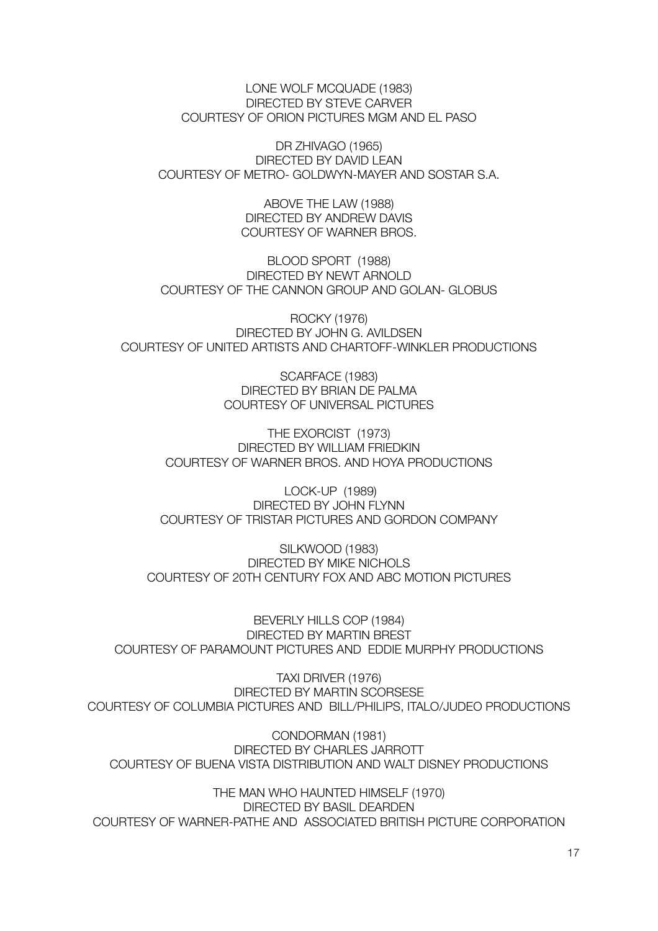LONE WOLF MCQUADE (1983) DIRECTED BY STEVE CARVER COURTESY OF ORION PICTURES MGM AND EL PASO

DR ZHIVAGO (1965) DIRECTED BY DAVID LEAN COURTESY OF METRO- GOLDWYN-MAYER AND SOSTAR S.A.

> ABOVE THE LAW (1988) DIRECTED BY ANDREW DAVIS COURTESY OF WARNER BROS.

BLOOD SPORT (1988) DIRECTED BY NEWT ARNOLD COURTESY OF THE CANNON GROUP AND GOLAN- GLOBUS

ROCKY (1976) DIRECTED BY JOHN G. AVILDSEN COURTESY OF UNITED ARTISTS AND CHARTOFF-WINKLER PRODUCTIONS

> SCARFACE (1983) DIRECTED BY BRIAN DE PALMA COURTESY OF UNIVERSAL PICTURES

THE EXORCIST (1973) DIRECTED BY WILLIAM FRIEDKIN COURTESY OF WARNER BROS. AND HOYA PRODUCTIONS

 LOCK-UP (1989) DIRECTED BY JOHN FLYNN COURTESY OF TRISTAR PICTURES AND GORDON COMPANY

SILKWOOD (1983) DIRECTED BY MIKE NICHOLS COURTESY OF 20TH CENTURY FOX AND ABC MOTION PICTURES

BEVERLY HILLS COP (1984) DIRECTED BY MARTIN BREST COURTESY OF PARAMOUNT PICTURES AND EDDIE MURPHY PRODUCTIONS

TAXI DRIVER (1976) DIRECTED BY MARTIN SCORSESE COURTESY OF COLUMBIA PICTURES AND BILL/PHILIPS, ITALO/JUDEO PRODUCTIONS

CONDORMAN (1981) DIRECTED BY CHARLES JARROTT COURTESY OF BUENA VISTA DISTRIBUTION AND WALT DISNEY PRODUCTIONS

THE MAN WHO HAUNTED HIMSELF (1970) DIRECTED BY BASIL DEARDEN COURTESY OF WARNER-PATHE AND ASSOCIATED BRITISH PICTURE CORPORATION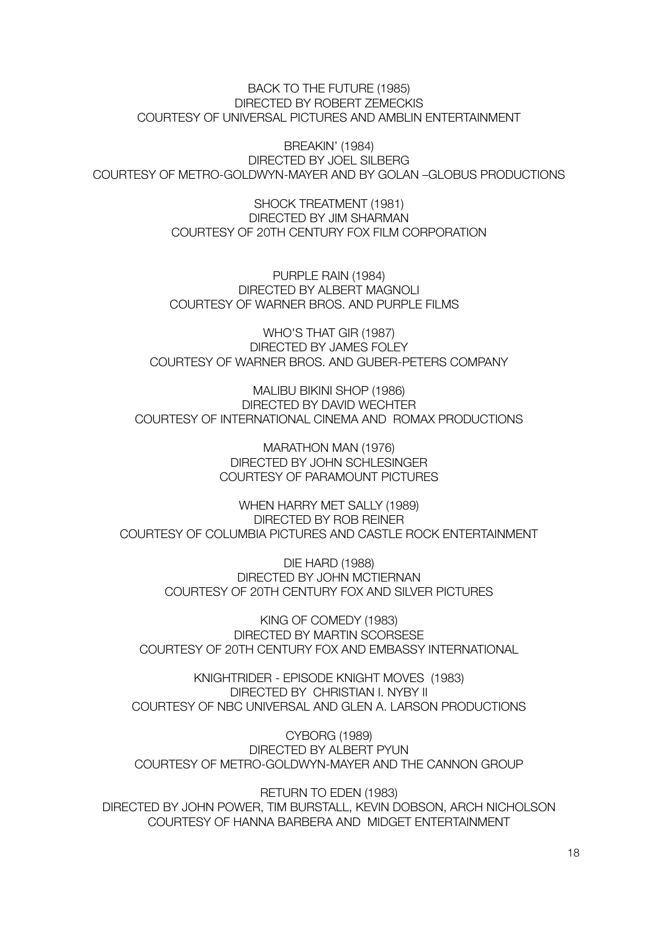#### BACK TO THE FUTURE (1985) DIRECTED BY ROBERT ZEMECKIS COURTESY OF UNIVERSAL PICTURES AND AMBLIN ENTERTAINMENT

BREAKIN' (1984) DIRECTED BY JOEL SILBERG COURTESY OF METRO-GOLDWYN-MAYER AND BY GOLAN –GLOBUS PRODUCTIONS

> SHOCK TREATMENT (1981) DIRECTED BY JIM SHARMAN COURTESY OF 20TH CENTURY FOX FILM CORPORATION

PURPLE RAIN (1984) DIRECTED BY ALBERT MAGNOLI COURTESY OF WARNER BROS. AND PURPLE FILMS

WHO'S THAT GIR (1987) DIRECTED BY JAMES FOLEY COURTESY OF WARNER BROS. AND GUBER-PETERS COMPANY

MALIBU BIKINI SHOP (1986) DIRECTED BY DAVID WECHTER COURTESY OF INTERNATIONAL CINEMA AND ROMAX PRODUCTIONS

> MARATHON MAN (1976) DIRECTED BY JOHN SCHLESINGER COURTESY OF PARAMOUNT PICTURES

WHEN HARRY MET SALLY (1989) DIRECTED BY ROB REINER COURTESY OF COLUMBIA PICTURES AND CASTLE ROCK ENTERTAINMENT

> DIE HARD (1988) DIRECTED BY JOHN MCTIERNAN COURTESY OF 20TH CENTURY FOX AND SILVER PICTURES

KING OF COMEDY (1983) DIRECTED BY MARTIN SCORSESE COURTESY OF 20TH CENTURY FOX AND EMBASSY INTERNATIONAL

KNIGHTRIDER - EPISODE KNIGHT MOVES (1983) DIRECTED BY CHRISTIAN I. NYBY II COURTESY OF NBC UNIVERSAL AND GLEN A. LARSON PRODUCTIONS

CYBORG (1989) DIRECTED BY ALBERT PYUN COURTESY OF METRO-GOLDWYN-MAYER AND THE CANNON GROUP

RETURN TO EDEN (1983) DIRECTED BY JOHN POWER, TIM BURSTALL, KEVIN DOBSON, ARCH NICHOLSON COURTESY OF HANNA BARBERA AND MIDGET ENTERTAINMENT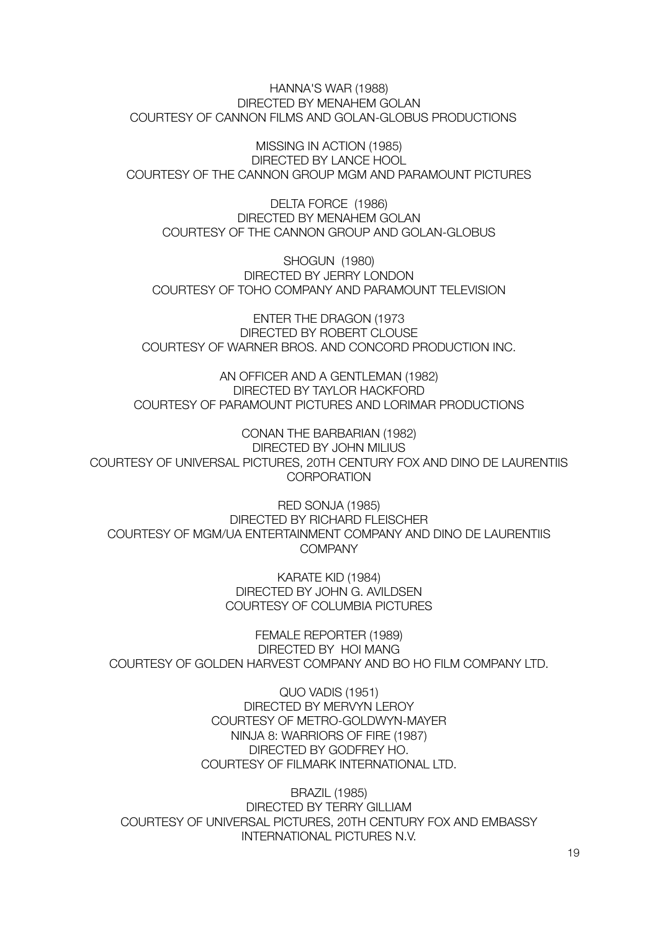HANNA'S WAR (1988) DIRECTED BY MENAHEM GOLAN COURTESY OF CANNON FILMS AND GOLAN-GLOBUS PRODUCTIONS

MISSING IN ACTION (1985) DIRECTED BY LANCE HOOL COURTESY OF THE CANNON GROUP MGM AND PARAMOUNT PICTURES

DELTA FORCE (1986) DIRECTED BY MENAHEM GOLAN COURTESY OF THE CANNON GROUP AND GOLAN-GLOBUS

SHOGUN (1980) DIRECTED BY JERRY LONDON COURTESY OF TOHO COMPANY AND PARAMOUNT TELEVISION

ENTER THE DRAGON (1973 DIRECTED BY ROBERT CLOUSE COURTESY OF WARNER BROS. AND CONCORD PRODUCTION INC.

AN OFFICER AND A GENTLEMAN (1982) DIRECTED BY TAYLOR HACKFORD COURTESY OF PARAMOUNT PICTURES AND LORIMAR PRODUCTIONS

CONAN THE BARBARIAN (1982) DIRECTED BY JOHN MILIUS COURTESY OF UNIVERSAL PICTURES, 20TH CENTURY FOX AND DINO DE LAURENTIIS **CORPORATION** 

RED SONJA (1985) DIRECTED BY RICHARD FLEISCHER COURTESY OF MGM/UA ENTERTAINMENT COMPANY AND DINO DE LAURENTIIS **COMPANY** 

> KARATE KID (1984) DIRECTED BY JOHN G. AVILDSEN COURTESY OF COLUMBIA PICTURES

FEMALE REPORTER (1989) DIRECTED BY HOI MANG COURTESY OF GOLDEN HARVEST COMPANY AND BO HO FILM COMPANY LTD.

> QUO VADIS (1951) DIRECTED BY MERVYN LEROY COURTESY OF METRO-GOLDWYN-MAYER NINJA 8: WARRIORS OF FIRE (1987) DIRECTED BY GODFREY HO. COURTESY OF FILMARK INTERNATIONAL LTD.

BRAZIL (1985) DIRECTED BY TERRY GILLIAM COURTESY OF UNIVERSAL PICTURES, 20TH CENTURY FOX AND EMBASSY INTERNATIONAL PICTURES N.V.